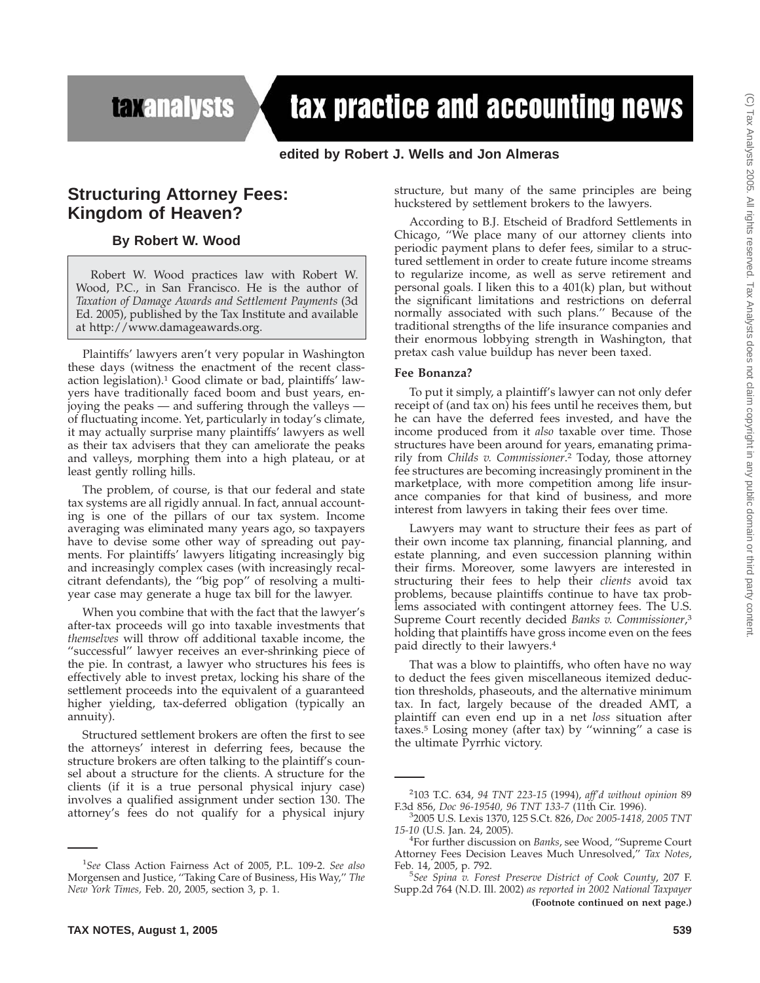## **taxanalysts**

# tax practice and accounting news

## **edited by Robert J. Wells and Jon Almeras**

## **Structuring Attorney Fees: Kingdom of Heaven?**

## **By Robert W. Wood**

Robert W. Wood practices law with Robert W. Wood, P.C., in San Francisco. He is the author of *Taxation of Damage Awards and Settlement Payments* (3d Ed. 2005), published by the Tax Institute and available at http://www.damageawards.org.

Plaintiffs' lawyers aren't very popular in Washington these days (witness the enactment of the recent classaction legislation).1 Good climate or bad, plaintiffs' lawyers have traditionally faced boom and bust years, enjoying the peaks — and suffering through the valleys of fluctuating income. Yet, particularly in today's climate, it may actually surprise many plaintiffs' lawyers as well as their tax advisers that they can ameliorate the peaks and valleys, morphing them into a high plateau, or at least gently rolling hills.

The problem, of course, is that our federal and state tax systems are all rigidly annual. In fact, annual accounting is one of the pillars of our tax system. Income averaging was eliminated many years ago, so taxpayers have to devise some other way of spreading out payments. For plaintiffs' lawyers litigating increasingly big and increasingly complex cases (with increasingly recalcitrant defendants), the ''big pop'' of resolving a multiyear case may generate a huge tax bill for the lawyer.

When you combine that with the fact that the lawyer's after-tax proceeds will go into taxable investments that *themselves* will throw off additional taxable income, the "successful" lawyer receives an ever-shrinking piece of the pie. In contrast, a lawyer who structures his fees is effectively able to invest pretax, locking his share of the settlement proceeds into the equivalent of a guaranteed higher yielding, tax-deferred obligation (typically an annuity).

Structured settlement brokers are often the first to see the attorneys' interest in deferring fees, because the structure brokers are often talking to the plaintiff's counsel about a structure for the clients. A structure for the clients (if it is a true personal physical injury case) involves a qualified assignment under section 130. The attorney's fees do not qualify for a physical injury

**TAX NOTES, August 1, 2005 539**

structure, but many of the same principles are being huckstered by settlement brokers to the lawyers.

According to B.J. Etscheid of Bradford Settlements in Chicago, ''We place many of our attorney clients into periodic payment plans to defer fees, similar to a structured settlement in order to create future income streams to regularize income, as well as serve retirement and personal goals. I liken this to a 401(k) plan, but without the significant limitations and restrictions on deferral normally associated with such plans.'' Because of the traditional strengths of the life insurance companies and their enormous lobbying strength in Washington, that pretax cash value buildup has never been taxed.

#### **Fee Bonanza?**

To put it simply, a plaintiff's lawyer can not only defer receipt of (and tax on) his fees until he receives them, but he can have the deferred fees invested, and have the income produced from it *also* taxable over time. Those structures have been around for years, emanating primarily from *Childs v. Commissioner*. <sup>2</sup> Today, those attorney fee structures are becoming increasingly prominent in the marketplace, with more competition among life insurance companies for that kind of business, and more interest from lawyers in taking their fees over time.

Lawyers may want to structure their fees as part of their own income tax planning, financial planning, and estate planning, and even succession planning within their firms. Moreover, some lawyers are interested in structuring their fees to help their *clients* avoid tax problems, because plaintiffs continue to have tax problems associated with contingent attorney fees. The U.S. Supreme Court recently decided *Banks v. Commissioner*, 3 holding that plaintiffs have gross income even on the fees paid directly to their lawyers.4

That was a blow to plaintiffs, who often have no way to deduct the fees given miscellaneous itemized deduction thresholds, phaseouts, and the alternative minimum tax. In fact, largely because of the dreaded AMT, a plaintiff can even end up in a net *loss* situation after taxes.5 Losing money (after tax) by ''winning'' a case is the ultimate Pyrrhic victory.

<sup>1</sup> *See* Class Action Fairness Act of 2005, P.L. 109-2. *See also* Morgensen and Justice, ''Taking Care of Business, His Way,'' *The New York Times,* Feb. 20, 2005, section 3, p. 1.

<sup>2</sup> 103 T.C. 634, *94 TNT 223-15* (1994), *aff'd without opinion* 89 F.3d 856, *Doc 96-19540, 96 TNT 133-7* (11th Cir. 1996). <sup>3</sup>

<sup>2005</sup> U.S. Lexis 1370, 125 S.Ct. 826, *Doc 2005-1418, 2005 TNT 15-10* (U.S. Jan. 24, 2005). <sup>4</sup>

For further discussion on *Banks*, see Wood, ''Supreme Court Attorney Fees Decision Leaves Much Unresolved,'' *Tax Notes*, Feb. 14, 2005, p. 792.

*See Spina v. Forest Preserve District of Cook County*, 207 F. Supp.2d 764 (N.D. Ill. 2002) *as reported in 2002 National Taxpayer* **(Footnote continued on next page.)**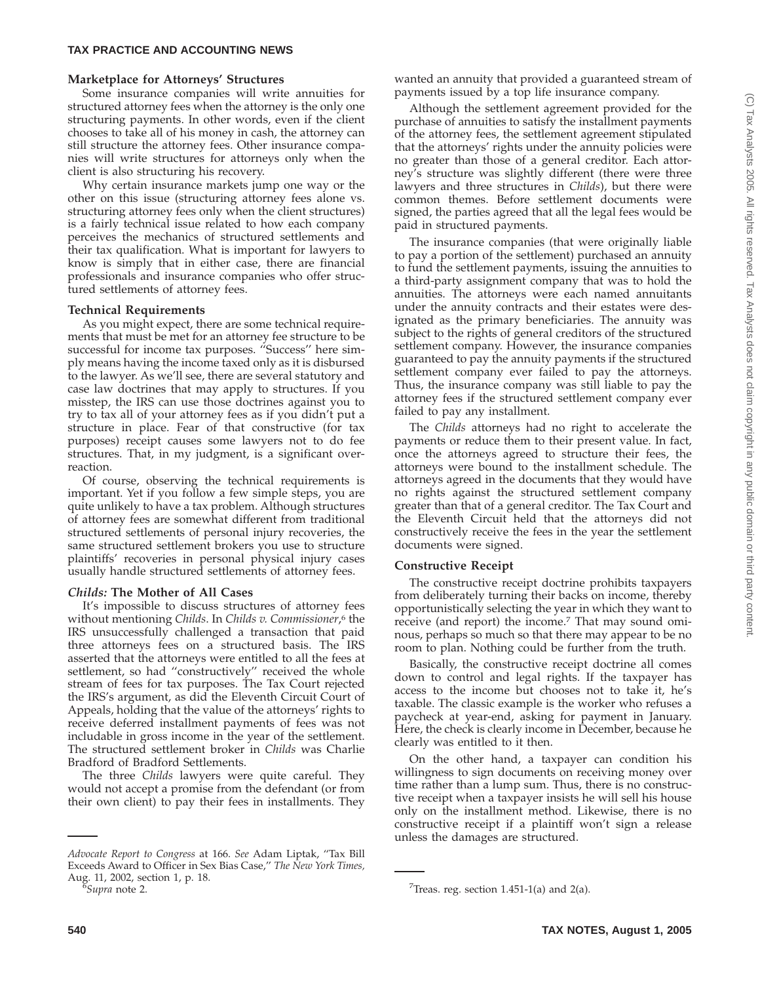## **Marketplace for Attorneys' Structures**

Some insurance companies will write annuities for structured attorney fees when the attorney is the only one structuring payments. In other words, even if the client chooses to take all of his money in cash, the attorney can still structure the attorney fees. Other insurance companies will write structures for attorneys only when the client is also structuring his recovery.

Why certain insurance markets jump one way or the other on this issue (structuring attorney fees alone vs. structuring attorney fees only when the client structures) is a fairly technical issue related to how each company perceives the mechanics of structured settlements and their tax qualification. What is important for lawyers to know is simply that in either case, there are financial professionals and insurance companies who offer structured settlements of attorney fees.

## **Technical Requirements**

As you might expect, there are some technical requirements that must be met for an attorney fee structure to be successful for income tax purposes. ''Success'' here simply means having the income taxed only as it is disbursed to the lawyer. As we'll see, there are several statutory and case law doctrines that may apply to structures. If you misstep, the IRS can use those doctrines against you to try to tax all of your attorney fees as if you didn't put a structure in place. Fear of that constructive (for tax purposes) receipt causes some lawyers not to do fee structures. That, in my judgment, is a significant overreaction.

Of course, observing the technical requirements is important. Yet if you follow a few simple steps, you are quite unlikely to have a tax problem. Although structures of attorney fees are somewhat different from traditional structured settlements of personal injury recoveries, the same structured settlement brokers you use to structure plaintiffs' recoveries in personal physical injury cases usually handle structured settlements of attorney fees.

## *Childs:* **The Mother of All Cases**

It's impossible to discuss structures of attorney fees without mentioning *Childs*. In *Childs v. Commissioner*, <sup>6</sup> the IRS unsuccessfully challenged a transaction that paid three attorneys fees on a structured basis. The IRS asserted that the attorneys were entitled to all the fees at settlement, so had ''constructively'' received the whole stream of fees for tax purposes. The Tax Court rejected the IRS's argument, as did the Eleventh Circuit Court of Appeals, holding that the value of the attorneys' rights to receive deferred installment payments of fees was not includable in gross income in the year of the settlement. The structured settlement broker in *Childs* was Charlie Bradford of Bradford Settlements.

The three *Childs* lawyers were quite careful. They would not accept a promise from the defendant (or from their own client) to pay their fees in installments. They

wanted an annuity that provided a guaranteed stream of payments issued by a top life insurance company.

Although the settlement agreement provided for the purchase of annuities to satisfy the installment payments of the attorney fees, the settlement agreement stipulated that the attorneys' rights under the annuity policies were no greater than those of a general creditor. Each attorney's structure was slightly different (there were three lawyers and three structures in *Childs*), but there were common themes. Before settlement documents were signed, the parties agreed that all the legal fees would be paid in structured payments.

The insurance companies (that were originally liable to pay a portion of the settlement) purchased an annuity to fund the settlement payments, issuing the annuities to a third-party assignment company that was to hold the annuities. The attorneys were each named annuitants under the annuity contracts and their estates were designated as the primary beneficiaries. The annuity was subject to the rights of general creditors of the structured settlement company. However, the insurance companies guaranteed to pay the annuity payments if the structured settlement company ever failed to pay the attorneys. Thus, the insurance company was still liable to pay the attorney fees if the structured settlement company ever failed to pay any installment.

The *Childs* attorneys had no right to accelerate the payments or reduce them to their present value. In fact, once the attorneys agreed to structure their fees, the attorneys were bound to the installment schedule. The attorneys agreed in the documents that they would have no rights against the structured settlement company greater than that of a general creditor. The Tax Court and the Eleventh Circuit held that the attorneys did not constructively receive the fees in the year the settlement documents were signed.

## **Constructive Receipt**

The constructive receipt doctrine prohibits taxpayers from deliberately turning their backs on income, thereby opportunistically selecting the year in which they want to receive (and report) the income.7 That may sound ominous, perhaps so much so that there may appear to be no room to plan. Nothing could be further from the truth.

Basically, the constructive receipt doctrine all comes down to control and legal rights. If the taxpayer has access to the income but chooses not to take it, he's taxable. The classic example is the worker who refuses a paycheck at year-end, asking for payment in January. Here, the check is clearly income in December, because he clearly was entitled to it then.

On the other hand, a taxpayer can condition his willingness to sign documents on receiving money over time rather than a lump sum. Thus, there is no constructive receipt when a taxpayer insists he will sell his house only on the installment method. Likewise, there is no constructive receipt if a plaintiff won't sign a release unless the damages are structured.

*Advocate Report to Congress* at 166. *See* Adam Liptak, ''Tax Bill Exceeds Award to Officer in Sex Bias Case,'' *The New York Times,* Aug. 11, 2002, section 1, p. 18. *7*<br>*Supra* note 2. *7* 

<sup>&</sup>lt;sup>7</sup>Treas. reg. section 1.451-1(a) and 2(a).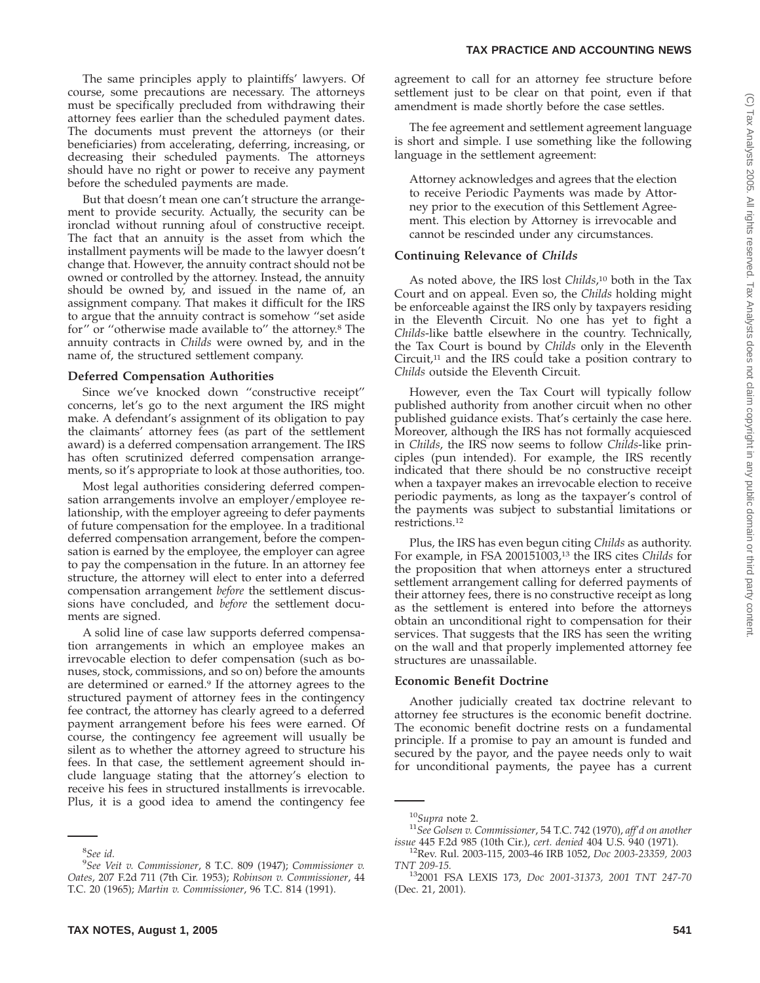The same principles apply to plaintiffs' lawyers. Of course, some precautions are necessary. The attorneys must be specifically precluded from withdrawing their attorney fees earlier than the scheduled payment dates. The documents must prevent the attorneys (or their beneficiaries) from accelerating, deferring, increasing, or decreasing their scheduled payments. The attorneys should have no right or power to receive any payment before the scheduled payments are made.

But that doesn't mean one can't structure the arrangement to provide security. Actually, the security can be ironclad without running afoul of constructive receipt. The fact that an annuity is the asset from which the installment payments will be made to the lawyer doesn't change that. However, the annuity contract should not be owned or controlled by the attorney. Instead, the annuity should be owned by, and issued in the name of, an assignment company. That makes it difficult for the IRS to argue that the annuity contract is somehow ''set aside for'' or ''otherwise made available to'' the attorney.8 The annuity contracts in *Childs* were owned by, and in the name of, the structured settlement company.

#### **Deferred Compensation Authorities**

Since we've knocked down ''constructive receipt'' concerns, let's go to the next argument the IRS might make. A defendant's assignment of its obligation to pay the claimants' attorney fees (as part of the settlement award) is a deferred compensation arrangement. The IRS has often scrutinized deferred compensation arrangements, so it's appropriate to look at those authorities, too.

Most legal authorities considering deferred compensation arrangements involve an employer/employee relationship, with the employer agreeing to defer payments of future compensation for the employee. In a traditional deferred compensation arrangement, before the compensation is earned by the employee, the employer can agree to pay the compensation in the future. In an attorney fee structure, the attorney will elect to enter into a deferred compensation arrangement *before* the settlement discussions have concluded, and *before* the settlement documents are signed.

A solid line of case law supports deferred compensation arrangements in which an employee makes an irrevocable election to defer compensation (such as bonuses, stock, commissions, and so on) before the amounts are determined or earned.<sup>9</sup> If the attorney agrees to the structured payment of attorney fees in the contingency fee contract, the attorney has clearly agreed to a deferred payment arrangement before his fees were earned. Of course, the contingency fee agreement will usually be silent as to whether the attorney agreed to structure his fees. In that case, the settlement agreement should include language stating that the attorney's election to receive his fees in structured installments is irrevocable. Plus, it is a good idea to amend the contingency fee

agreement to call for an attorney fee structure before settlement just to be clear on that point, even if that amendment is made shortly before the case settles.

The fee agreement and settlement agreement language is short and simple. I use something like the following language in the settlement agreement:

Attorney acknowledges and agrees that the election to receive Periodic Payments was made by Attorney prior to the execution of this Settlement Agreement. This election by Attorney is irrevocable and cannot be rescinded under any circumstances.

#### **Continuing Relevance of** *Childs*

As noted above, the IRS lost *Childs*, <sup>10</sup> both in the Tax Court and on appeal. Even so, the *Childs* holding might be enforceable against the IRS only by taxpayers residing in the Eleventh Circuit. No one has yet to fight a *Childs*-like battle elsewhere in the country. Technically, the Tax Court is bound by *Childs* only in the Eleventh Circuit, $11$  and the IRS could take a position contrary to *Childs* outside the Eleventh Circuit.

However, even the Tax Court will typically follow published authority from another circuit when no other published guidance exists. That's certainly the case here. Moreover, although the IRS has not formally acquiesced in *Childs*, the IRS now seems to follow *Childs*-like principles (pun intended). For example, the IRS recently indicated that there should be no constructive receipt when a taxpayer makes an irrevocable election to receive periodic payments, as long as the taxpayer's control of the payments was subject to substantial limitations or restrictions.12

Plus, the IRS has even begun citing *Childs* as authority. For example, in FSA 200151003,<sup>13</sup> the IRS cites *Childs* for the proposition that when attorneys enter a structured settlement arrangement calling for deferred payments of their attorney fees, there is no constructive receipt as long as the settlement is entered into before the attorneys obtain an unconditional right to compensation for their services. That suggests that the IRS has seen the writing on the wall and that properly implemented attorney fee structures are unassailable.

#### **Economic Benefit Doctrine**

Another judicially created tax doctrine relevant to attorney fee structures is the economic benefit doctrine. The economic benefit doctrine rests on a fundamental principle. If a promise to pay an amount is funded and secured by the payor, and the payee needs only to wait for unconditional payments, the payee has a current

<sup>8</sup> *See id.*

<sup>9</sup> *See Veit v. Commissioner*, 8 T.C. 809 (1947); *Commissioner v. Oates*, 207 F.2d 711 (7th Cir. 1953); *Robinson v. Commissioner*, 44 T.C. 20 (1965); *Martin v. Commissioner*, 96 T.C. 814 (1991).

<sup>10</sup>*Supra* note 2. <sup>11</sup>*See Golsen v. Commissioner*, 54 T.C. 742 (1970), *aff'd on another*

<sup>&</sup>lt;sup>12</sup> Rev. Rul. 2003-115, 2003-46 IRB 1052, *Doc 2003-23359, 2003* TNT 209-15.

*TNT 209-15.* 132001 FSA LEXIS 173, *Doc 2001-31373, 2001 TNT 247-70* (Dec. 21, 2001).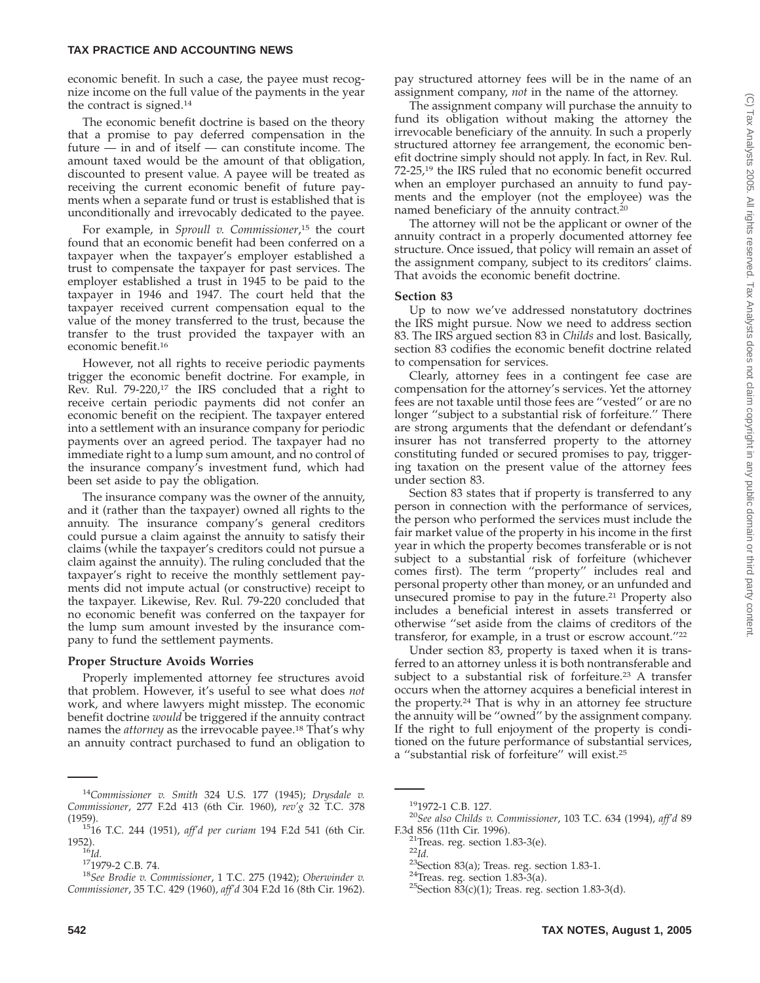economic benefit. In such a case, the payee must recognize income on the full value of the payments in the year the contract is signed.14

The economic benefit doctrine is based on the theory that a promise to pay deferred compensation in the future — in and of itself — can constitute income. The amount taxed would be the amount of that obligation, discounted to present value. A payee will be treated as receiving the current economic benefit of future payments when a separate fund or trust is established that is unconditionally and irrevocably dedicated to the payee.

For example, in *Sproull v. Commissioner*, <sup>15</sup> the court found that an economic benefit had been conferred on a taxpayer when the taxpayer's employer established a trust to compensate the taxpayer for past services. The employer established a trust in 1945 to be paid to the taxpayer in 1946 and 1947. The court held that the taxpayer received current compensation equal to the value of the money transferred to the trust, because the transfer to the trust provided the taxpayer with an economic benefit.16

However, not all rights to receive periodic payments trigger the economic benefit doctrine. For example, in Rev. Rul. 79-220,<sup>17</sup> the IRS concluded that a right to receive certain periodic payments did not confer an economic benefit on the recipient. The taxpayer entered into a settlement with an insurance company for periodic payments over an agreed period. The taxpayer had no immediate right to a lump sum amount, and no control of the insurance company's investment fund, which had been set aside to pay the obligation.

The insurance company was the owner of the annuity, and it (rather than the taxpayer) owned all rights to the annuity. The insurance company's general creditors could pursue a claim against the annuity to satisfy their claims (while the taxpayer's creditors could not pursue a claim against the annuity). The ruling concluded that the taxpayer's right to receive the monthly settlement payments did not impute actual (or constructive) receipt to the taxpayer. Likewise, Rev. Rul. 79-220 concluded that no economic benefit was conferred on the taxpayer for the lump sum amount invested by the insurance company to fund the settlement payments.

## **Proper Structure Avoids Worries**

Properly implemented attorney fee structures avoid that problem. However, it's useful to see what does *not* work, and where lawyers might misstep. The economic benefit doctrine *would* be triggered if the annuity contract names the *attorney* as the irrevocable payee.18 That's why an annuity contract purchased to fund an obligation to pay structured attorney fees will be in the name of an assignment company, *not* in the name of the attorney.

The assignment company will purchase the annuity to fund its obligation without making the attorney the irrevocable beneficiary of the annuity. In such a properly structured attorney fee arrangement, the economic benefit doctrine simply should not apply. In fact, in Rev. Rul. 72-25,19 the IRS ruled that no economic benefit occurred when an employer purchased an annuity to fund payments and the employer (not the employee) was the named beneficiary of the annuity contract.20

The attorney will not be the applicant or owner of the annuity contract in a properly documented attorney fee structure. Once issued, that policy will remain an asset of the assignment company, subject to its creditors' claims. That avoids the economic benefit doctrine.

## **Section 83**

Up to now we've addressed nonstatutory doctrines the IRS might pursue. Now we need to address section 83. The IRS argued section 83 in *Childs* and lost. Basically, section 83 codifies the economic benefit doctrine related to compensation for services.

Clearly, attorney fees in a contingent fee case are compensation for the attorney's services. Yet the attorney fees are not taxable until those fees are ''vested'' or are no longer ''subject to a substantial risk of forfeiture.'' There are strong arguments that the defendant or defendant's insurer has not transferred property to the attorney constituting funded or secured promises to pay, triggering taxation on the present value of the attorney fees under section 83.

Section 83 states that if property is transferred to any person in connection with the performance of services, the person who performed the services must include the fair market value of the property in his income in the first year in which the property becomes transferable or is not subject to a substantial risk of forfeiture (whichever comes first). The term ''property'' includes real and personal property other than money, or an unfunded and unsecured promise to pay in the future.<sup>21</sup> Property also includes a beneficial interest in assets transferred or otherwise ''set aside from the claims of creditors of the transferor, for example, in a trust or escrow account.''22

Under section 83, property is taxed when it is transferred to an attorney unless it is both nontransferable and subject to a substantial risk of forfeiture.<sup>23</sup> A transfer occurs when the attorney acquires a beneficial interest in the property.24 That is why in an attorney fee structure the annuity will be ''owned'' by the assignment company. If the right to full enjoyment of the property is conditioned on the future performance of substantial services, a ''substantial risk of forfeiture'' will exist.25

<sup>14</sup>*Commissioner v. Smith* 324 U.S. 177 (1945); *Drysdale v. Commissioner*, 277 F.2d 413 (6th Cir. 1960), *rev'g* 32 T.C. 378

<sup>&</sup>lt;sup>15</sup>16 T.C. 244 (1951), *aff'd per curiam* 194 F.2d 541 (6th Cir.<br>1952).

<sup>1952).</sup> <sup>16</sup>*Id.* 171979-2 C.B. 74. <sup>18</sup>*See Brodie v. Commissioner*, 1 T.C. 275 (1942); *Oberwinder v. Commissioner*, 35 T.C. 429 (1960), *aff'd* 304 F.2d 16 (8th Cir. 1962).

<sup>191972-1</sup> C.B. 127. <sup>20</sup>*See also Childs v. Commissioner*, 103 T.C. 634 (1994), *aff'd* <sup>89</sup>

<sup>&</sup>lt;sup>21</sup>Treas. reg. section 1.83-3(e). <sup>22</sup>Id.<br><sup>23</sup>Section 83(a); Treas. reg. section 1.83-1. <sup>24</sup>Treas. reg. section 1.83-3(a). <sup>25</sup>Section 83(c)(1); Treas. reg. section 1.83-3(d).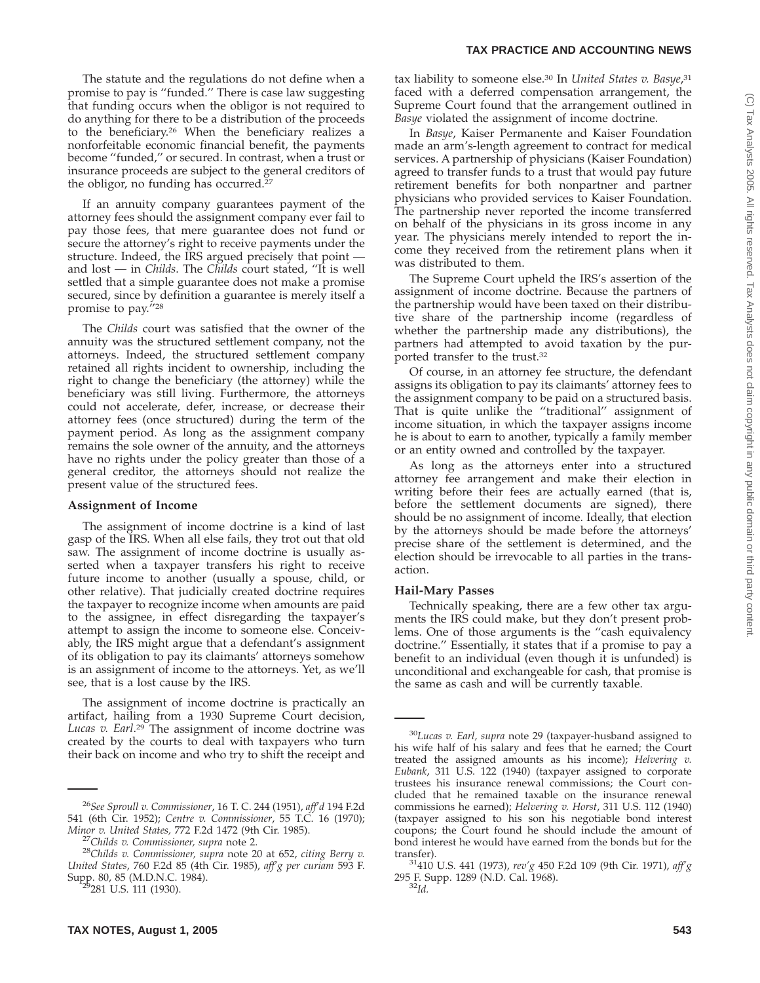The statute and the regulations do not define when a promise to pay is ''funded.'' There is case law suggesting that funding occurs when the obligor is not required to do anything for there to be a distribution of the proceeds to the beneficiary.26 When the beneficiary realizes a nonforfeitable economic financial benefit, the payments become ''funded,'' or secured. In contrast, when a trust or insurance proceeds are subject to the general creditors of the obligor, no funding has occurred.<sup>27</sup>

If an annuity company guarantees payment of the attorney fees should the assignment company ever fail to pay those fees, that mere guarantee does not fund or secure the attorney's right to receive payments under the structure. Indeed, the IRS argued precisely that point and lost — in *Childs*. The *Childs* court stated, ''It is well settled that a simple guarantee does not make a promise secured, since by definition a guarantee is merely itself a promise to pay.''28

The *Childs* court was satisfied that the owner of the annuity was the structured settlement company, not the attorneys. Indeed, the structured settlement company retained all rights incident to ownership, including the right to change the beneficiary (the attorney) while the beneficiary was still living. Furthermore, the attorneys could not accelerate, defer, increase, or decrease their attorney fees (once structured) during the term of the payment period. As long as the assignment company remains the sole owner of the annuity, and the attorneys have no rights under the policy greater than those of a general creditor, the attorneys should not realize the present value of the structured fees.

#### **Assignment of Income**

The assignment of income doctrine is a kind of last gasp of the IRS. When all else fails, they trot out that old saw. The assignment of income doctrine is usually asserted when a taxpayer transfers his right to receive future income to another (usually a spouse, child, or other relative). That judicially created doctrine requires the taxpayer to recognize income when amounts are paid to the assignee, in effect disregarding the taxpayer's attempt to assign the income to someone else. Conceivably, the IRS might argue that a defendant's assignment of its obligation to pay its claimants' attorneys somehow is an assignment of income to the attorneys. Yet, as we'll see, that is a lost cause by the IRS.

The assignment of income doctrine is practically an artifact, hailing from a 1930 Supreme Court decision, *Lucas v. Earl*. <sup>29</sup> The assignment of income doctrine was created by the courts to deal with taxpayers who turn their back on income and who try to shift the receipt and

tax liability to someone else.<sup>30</sup> In *United States v. Basye*,<sup>31</sup> faced with a deferred compensation arrangement, the Supreme Court found that the arrangement outlined in *Basye* violated the assignment of income doctrine.

In *Basye*, Kaiser Permanente and Kaiser Foundation made an arm's-length agreement to contract for medical services. A partnership of physicians (Kaiser Foundation) agreed to transfer funds to a trust that would pay future retirement benefits for both nonpartner and partner physicians who provided services to Kaiser Foundation. The partnership never reported the income transferred on behalf of the physicians in its gross income in any year. The physicians merely intended to report the income they received from the retirement plans when it was distributed to them.

The Supreme Court upheld the IRS's assertion of the assignment of income doctrine. Because the partners of the partnership would have been taxed on their distributive share of the partnership income (regardless of whether the partnership made any distributions), the partners had attempted to avoid taxation by the purported transfer to the trust.32

Of course, in an attorney fee structure, the defendant assigns its obligation to pay its claimants' attorney fees to the assignment company to be paid on a structured basis. That is quite unlike the "traditional" assignment of income situation, in which the taxpayer assigns income he is about to earn to another, typically a family member or an entity owned and controlled by the taxpayer.

As long as the attorneys enter into a structured attorney fee arrangement and make their election in writing before their fees are actually earned (that is, before the settlement documents are signed), there should be no assignment of income. Ideally, that election by the attorneys should be made before the attorneys' precise share of the settlement is determined, and the election should be irrevocable to all parties in the transaction.

## **Hail-Mary Passes**

Technically speaking, there are a few other tax arguments the IRS could make, but they don't present problems. One of those arguments is the ''cash equivalency doctrine.'' Essentially, it states that if a promise to pay a benefit to an individual (even though it is unfunded) is unconditional and exchangeable for cash, that promise is the same as cash and will be currently taxable.

<sup>26</sup>*See Sproull v. Commissioner*, 16 T. C. 244 (1951), *aff'd* 194 F.2d 541 (6th Cir. 1952); *Centre v. Commissioner*, 55 T.C. 16 (1970);

*Minor v. United States,* 772 F.2d 1472 (9th Cir. 1985). <sup>27</sup>*Childs v. Commissioner, supra* note 2. <sup>28</sup>*Childs v. Commissioner, supra* note 20 at 652, *citing Berry v. United States*, 760 F.2d 85 (4th Cir. 1985), *aff'g per curiam* 593 F. Supp. 80, 85 (M.D.N.C. 1984).<br><sup>29</sup>281 U.S. 111 (1930).

<sup>30</sup>*Lucas v. Earl, supra* note 29 (taxpayer-husband assigned to his wife half of his salary and fees that he earned; the Court treated the assigned amounts as his income); *Helvering v. Eubank*, 311 U.S. 122 (1940) (taxpayer assigned to corporate trustees his insurance renewal commissions; the Court concluded that he remained taxable on the insurance renewal commissions he earned); *Helvering v. Horst*, 311 U.S. 112 (1940) (taxpayer assigned to his son his negotiable bond interest coupons; the Court found he should include the amount of bond interest he would have earned from the bonds but for the

transfer). 31410 U.S. 441 (1973), *rev'g* 450 F.2d 109 (9th Cir. 1971), *aff'g* 295 F. Supp. 1289 (N.D. Cal. 1968). <sup>32</sup>*Id.*